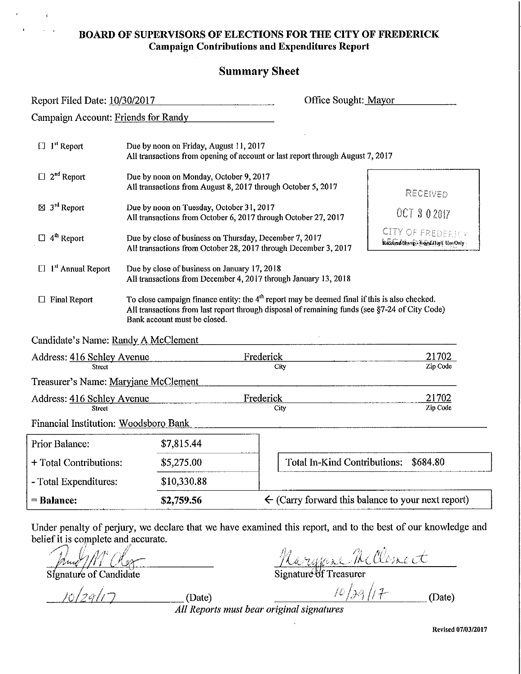#### **BOARD OF SUPERVISORS OF ELECTIONS FOR THE CITY OF FREDERICK Campaign Contributions and Expenditures Report**

#### **Summary Sheet**

RepOli Filed Date: ~1 <sup>0</sup>'<!1-".3,<!0/..,2,,-0 1...,7'--\_\_\_\_\_ --,-\_\_ Office Sought:-,M~aY1-'o",-r \_\_\_\_ \_

Campaign Account: Friends for Randy

| $1st$ Report<br>□                              | Due by noon on Friday, August 11, 2017<br>All transactions from opening of account or last report through August 7, 2017 |                                                                                                                                                                                                             |                                                               |
|------------------------------------------------|--------------------------------------------------------------------------------------------------------------------------|-------------------------------------------------------------------------------------------------------------------------------------------------------------------------------------------------------------|---------------------------------------------------------------|
| $2nd$ Report<br>$\Box$                         |                                                                                                                          | Due by noon on Monday, October 9, 2017<br>All transactions from August 8, 2017 through October 5, 2017                                                                                                      | RECEIVED                                                      |
| $\boxtimes$ 3 <sup>rd</sup> Report             |                                                                                                                          | Due by noon on Tuesday, October 31, 2017<br>All transactions from October 6, 2017 through October 27, 2017                                                                                                  | OCT 3 0 2017                                                  |
| 4 <sup>th</sup> Report                         |                                                                                                                          | Due by close of business on Thursday, December 7, 2017<br>All transactions from October 28, 2017 through December 3, 2017                                                                                   | <b>CITY OF FREDERIC</b><br>Received Stamp) E-Sol Hept Use Onl |
| 1 <sup>st</sup> Annual Report                  |                                                                                                                          | Due by close of business on January 17, 2018<br>All transactions from December 4, 2017 through January 13, 2018                                                                                             |                                                               |
| <b>Final Report</b>                            | Bank account must be closed.                                                                                             | To close campaign finance entity: the 4 <sup>th</sup> report may be deemed final if this is also checked.<br>All transactions from last report through disposal of remaining funds (see §7-24 of City Code) |                                                               |
| Candidate's Name: Randy A McClement            |                                                                                                                          |                                                                                                                                                                                                             |                                                               |
| Address: 416 Schley Avenue                     |                                                                                                                          | Frederick                                                                                                                                                                                                   | 21702                                                         |
| Street<br>Treasurer's Name: Maryjane McClement |                                                                                                                          | City                                                                                                                                                                                                        | Zip Code                                                      |
| Address: 416 Schley Avenue                     |                                                                                                                          | Frederick                                                                                                                                                                                                   | 21702                                                         |

Financial Institution: Woodsboro Bank

**Street** 

| <b>Prior Balance:</b>  | \$7,815.44  |                                                               |  |
|------------------------|-------------|---------------------------------------------------------------|--|
| + Total Contributions: | \$5,275.00  | Total In-Kind Contributions: \$684.80                         |  |
| - Total Expenditures:  | \$10,330.88 |                                                               |  |
| $=$ Balance:           | \$2,759.56  | $\leftarrow$ (Carry forward this balance to your next report) |  |

**City** 

Under penalty of perjury, we declare that we have examined this report, and to the best of our knowledge and belief it is complete and accurate.

 $S$  Signature of Candidate

*<u>10/29/17</del>* (Date)</u>

*<u>Marylaxe Mellomet</u>*<br>
Signature of Treasurer<br>  $\frac{10}{39}$ /17 (Date)

Zip Code

*All Reports //lust bear original signatures* 

Revised 07/03/2017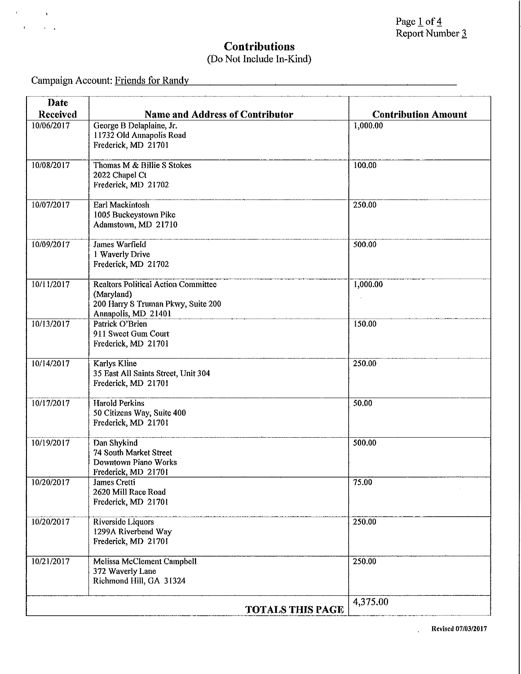### **Contributions**  (Do Not Include In-Kind)

Campaign Account: Friends for Randy

 $\mathcal{F}^{\mathcal{G}}_{\mathcal{G}}(x)$  ,  $\mathcal{F}^{\mathcal{G}}_{\mathcal{G}}(x)$ 

 $\mathbf{r}^{\top}$ 

 $\sim 10^{11}$  km s  $^{-1}$ 

| <b>Date</b>     |                                                           |                            |
|-----------------|-----------------------------------------------------------|----------------------------|
| <b>Received</b> | <b>Name and Address of Contributor</b>                    | <b>Contribution Amount</b> |
| 10/06/2017      | George B Delaplaine, Jr.<br>11732 Old Annapolis Road      | 1,000.00                   |
|                 | Frederick, MD 21701                                       |                            |
| 10/08/2017      | Thomas M & Billie S Stokes                                | 100.00                     |
|                 | 2022 Chapel Ct                                            |                            |
|                 | Frederick, MD 21702                                       |                            |
| 10/07/2017      | Earl Mackintosh                                           | 250.00                     |
|                 | 1005 Buckeystown Pike                                     |                            |
|                 | Adamstown, MD 21710                                       |                            |
| 10/09/2017      | James Warfield                                            | 500.00                     |
|                 | 1 Waverly Drive                                           |                            |
|                 | Frederick, MD 21702                                       |                            |
| 10/11/2017      | <b>Realtors Political Action Committee</b>                | 1,000.00                   |
|                 | (Maryland)                                                |                            |
|                 | 200 Harry S Truman Pkwy, Suite 200<br>Annapolis, MD 21401 |                            |
| 10/13/2017      | Patrick O'Brien                                           | 150.00                     |
|                 | 911 Sweet Gum Court                                       |                            |
|                 | Frederick, MD 21701                                       |                            |
| 10/14/2017      | <b>Karlys Kline</b>                                       | 250.00                     |
|                 | 35 East All Saints Street, Unit 304                       |                            |
|                 | Frederick, MD 21701                                       |                            |
| 10/17/2017      | <b>Harold Perkins</b>                                     | 50.00                      |
|                 | 50 Citizens Way, Suite 400                                |                            |
|                 | Frederick, MD 21701                                       |                            |
| 10/19/2017      | Dan Shykind                                               | 500.00                     |
|                 | 74 South Market Street<br>Downtown Piano Works            |                            |
|                 | Frederick, MD 21701                                       |                            |
| 10/20/2017      | James Cretti                                              | 75.00                      |
|                 | 2620 Mill Race Road                                       |                            |
|                 | Frederick, MD 21701                                       |                            |
| 10/20/2017      | Riverside Liquors                                         | 250.00                     |
|                 | 1299A Riverbend Way                                       |                            |
|                 | Frederick, MD 21701                                       |                            |
| 10/21/2017      | Melissa McClement Campbell                                | 250.00                     |
|                 | 372 Waverly Lane<br>Richmond Hill, GA 31324               |                            |
|                 |                                                           |                            |
|                 |                                                           | 4,375.00                   |
|                 | <b>TOTALS THIS PAGE</b>                                   |                            |

Revised 0710312017

 $\ddot{\phantom{a}}$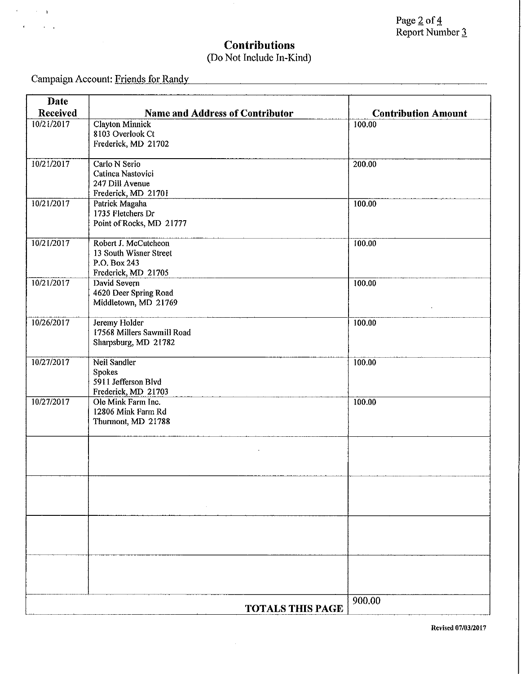## **Contributions**  (Do Not Include In-Kind)

Campaign Account: "-F-"'ri"'en"'d"'s'-cfi"'o"'-r."-R"'a""n"'dyl--\_\_\_\_\_\_\_\_\_\_\_\_\_\_\_\_\_\_\_\_\_\_\_\_ \_

 $\epsilon$  .

 $\sim$   $\sim$   $\sim$   $\sim$   $\sim$  $\ddot{\phantom{a}}$  $\ddot{\phantom{a}}$ 

| <b>Date</b>                   |                                                                  |                                      |
|-------------------------------|------------------------------------------------------------------|--------------------------------------|
| <b>Received</b><br>10/21/2017 | <b>Name and Address of Contributor</b><br><b>Clayton Minnick</b> | <b>Contribution Amount</b><br>100.00 |
|                               | 8103 Overlook Ct                                                 |                                      |
|                               | Frederick, MD 21702                                              |                                      |
| 10/21/2017                    | Carlo N Serio                                                    | 200.00                               |
|                               | Catinca Nastovici                                                |                                      |
|                               | 247 Dill Avenue<br>Frederick, MD 21701                           |                                      |
| 10/21/2017                    | Patrick Magaha                                                   | 100.00                               |
|                               | 1735 Fletchers Dr                                                |                                      |
|                               | Point of Rocks, MD 21777                                         |                                      |
| 10/21/2017                    | Robert J. McCutcheon                                             | 100.00                               |
|                               | 13 South Wisner Street                                           |                                      |
|                               | P.O. Box 243<br>Frederick, MD 21705                              |                                      |
| 10/21/2017                    | David Severn                                                     | 100.00                               |
|                               | 4620 Deer Spring Road                                            |                                      |
|                               | Middletown, MD 21769                                             |                                      |
| 10/26/2017                    | Jeremy Holder                                                    | 100.00                               |
|                               | 17568 Millers Sawmill Road                                       |                                      |
|                               | Sharpsburg, MD 21782                                             |                                      |
| 10/27/2017                    | Neil Sandler                                                     | 100.00                               |
|                               | Spokes<br>5911 Jefferson Blvd                                    |                                      |
|                               | Frederick, MD 21703                                              |                                      |
| 10/27/2017                    | Ole Mink Farm Inc.                                               | 100.00                               |
|                               | 12806 Mink Farm Rd                                               |                                      |
|                               | Thurmont, MD 21788                                               |                                      |
|                               |                                                                  |                                      |
|                               |                                                                  |                                      |
|                               |                                                                  |                                      |
|                               |                                                                  |                                      |
|                               |                                                                  |                                      |
|                               |                                                                  |                                      |
|                               |                                                                  |                                      |
|                               |                                                                  |                                      |
|                               |                                                                  |                                      |
|                               |                                                                  |                                      |
|                               |                                                                  | 900.00                               |
|                               | <b>TOTALS THIS PAGE</b>                                          |                                      |

 $\hat{\boldsymbol{\epsilon}}$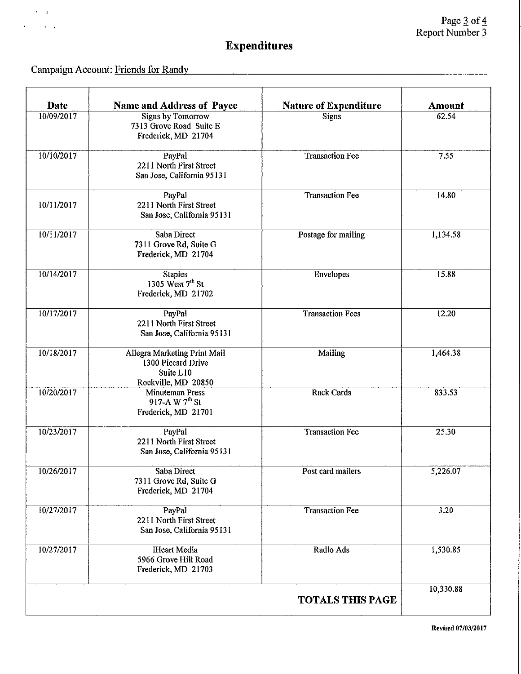# Expenditures

Campaign Account: Friends for Randy

 $\epsilon = 1$ 

 $\epsilon$ 

 $\mathbf{r}=\mathbf{r}$ 

| <b>Date</b> | <b>Name and Address of Payee</b>                                                       | <b>Nature of Expenditure</b> | <b>Amount</b> |
|-------------|----------------------------------------------------------------------------------------|------------------------------|---------------|
| 10/09/2017  | <b>Signs by Tomorrow</b><br>7313 Grove Road Suite E<br>Frederick, MD 21704             | <b>Signs</b>                 | 62.54         |
| 10/10/2017  | PayPal<br>2211 North First Street<br>San Jose, California 95131                        | <b>Transaction Fee</b>       | 7.55          |
| 10/11/2017  | PayPal<br>2211 North First Street<br>San Jose, California 95131                        | <b>Transaction Fee</b>       | 14.80         |
| 10/11/2017  | Saba Direct<br>7311 Grove Rd, Suite G<br>Frederick, MD 21704                           | Postage for mailing          | 1,134.58      |
| 10/14/2017  | <b>Staples</b><br>1305 West 7th St<br>Frederick, MD 21702                              | Envelopes                    | 15.88         |
| 10/17/2017  | PayPal<br>2211 North First Street<br>San Jose, California 95131                        | <b>Transaction Fees</b>      | 12.20         |
| 10/18/2017  | Allegra Marketing Print Mail<br>1300 Piccard Drive<br>Suite L10<br>Rockville, MD 20850 | Mailing                      | 1,464.38      |
| 10/20/2017  | Minuteman Press<br>917-A W 7 <sup>th</sup> St<br>Frederick, MD 21701                   | <b>Rack Cards</b>            | 833.53        |
| 10/23/2017  | PayPal<br>2211 North First Street<br>San Jose, California 95131                        | <b>Transaction Fee</b>       | 25.30         |
| 10/26/2017  | Saba Direct<br>7311 Grove Rd, Suite G<br>Frederick, MD 21704                           | Post card mailers            | 5,226.07      |
| 10/27/2017  | PayPal<br>2211 North First Street<br>San Jose, California 95131                        | <b>Transaction Fee</b>       | 3.20          |
| 10/27/2017  | <b>iHeart</b> Media<br>5966 Grove Hill Road<br>Frederick, MD 21703                     | Radio Ads                    | 1,530.85      |
|             |                                                                                        | <b>TOTALS THIS PAGE</b>      | 10,330.88     |